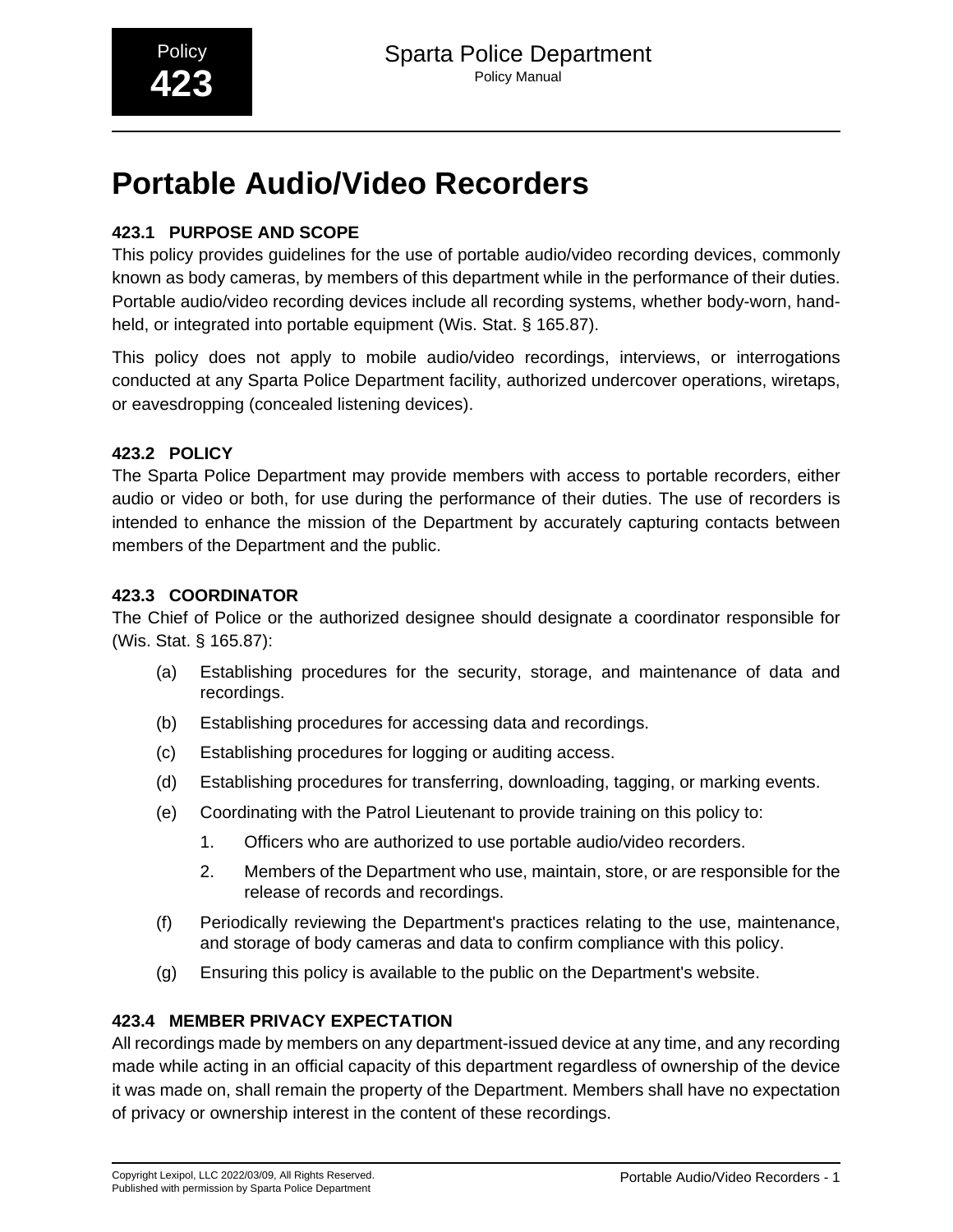# **Portable Audio/Video Recorders**

# **423.1 PURPOSE AND SCOPE**

This policy provides guidelines for the use of portable audio/video recording devices, commonly known as body cameras, by members of this department while in the performance of their duties. Portable audio/video recording devices include all recording systems, whether body-worn, handheld, or integrated into portable equipment (Wis. Stat. § 165.87).

This policy does not apply to mobile audio/video recordings, interviews, or interrogations conducted at any Sparta Police Department facility, authorized undercover operations, wiretaps, or eavesdropping (concealed listening devices).

## **423.2 POLICY**

The Sparta Police Department may provide members with access to portable recorders, either audio or video or both, for use during the performance of their duties. The use of recorders is intended to enhance the mission of the Department by accurately capturing contacts between members of the Department and the public.

## **423.3 COORDINATOR**

The Chief of Police or the authorized designee should designate a coordinator responsible for (Wis. Stat. § 165.87):

- (a) Establishing procedures for the security, storage, and maintenance of data and recordings.
- (b) Establishing procedures for accessing data and recordings.
- (c) Establishing procedures for logging or auditing access.
- (d) Establishing procedures for transferring, downloading, tagging, or marking events.
- (e) Coordinating with the Patrol Lieutenant to provide training on this policy to:
	- 1. Officers who are authorized to use portable audio/video recorders.
	- 2. Members of the Department who use, maintain, store, or are responsible for the release of records and recordings.
- (f) Periodically reviewing the Department's practices relating to the use, maintenance, and storage of body cameras and data to confirm compliance with this policy.
- (g) Ensuring this policy is available to the public on the Department's website.

## **423.4 MEMBER PRIVACY EXPECTATION**

All recordings made by members on any department-issued device at any time, and any recording made while acting in an official capacity of this department regardless of ownership of the device it was made on, shall remain the property of the Department. Members shall have no expectation of privacy or ownership interest in the content of these recordings.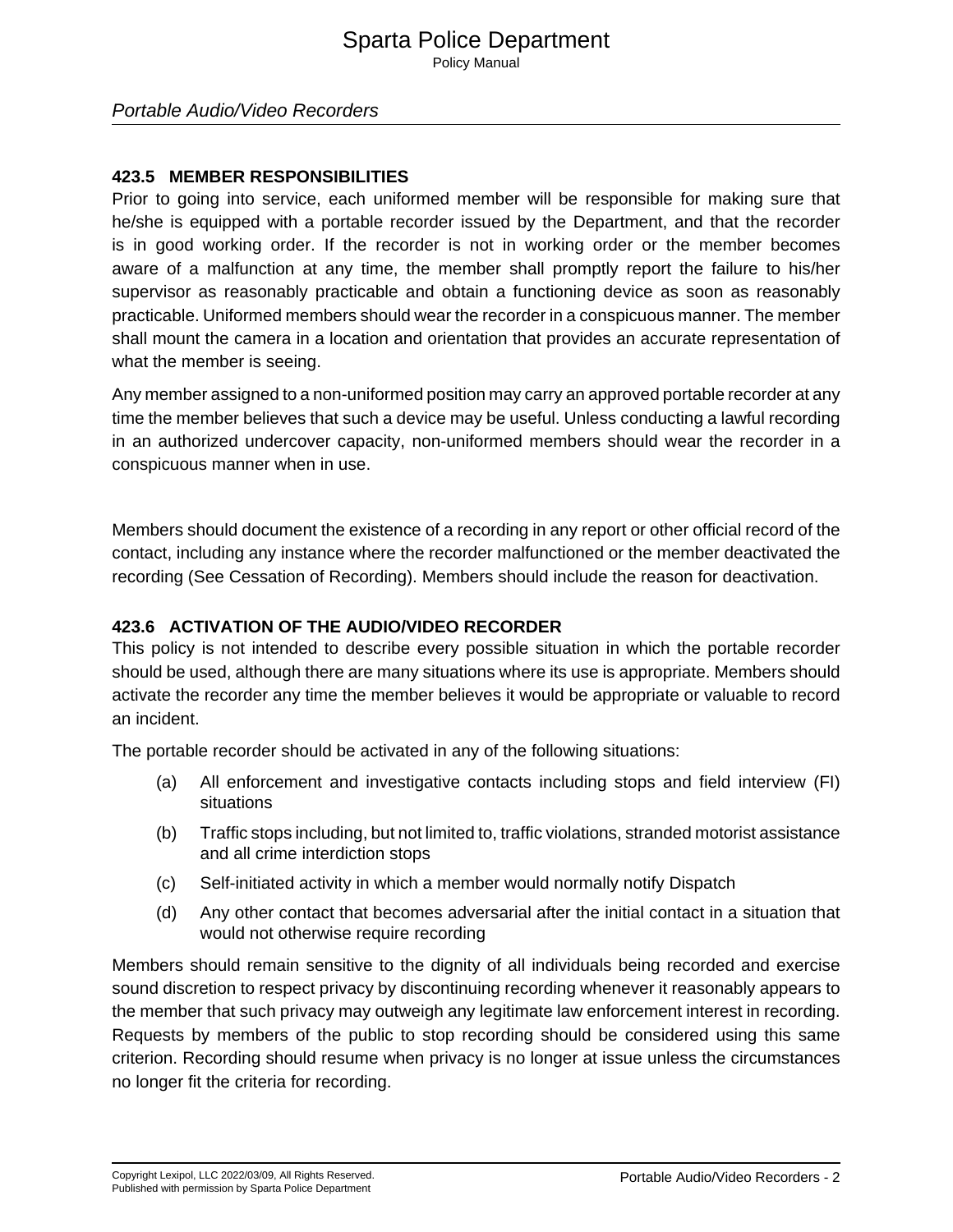Portable Audio/Video Recorders

#### **423.5 MEMBER RESPONSIBILITIES**

Prior to going into service, each uniformed member will be responsible for making sure that he/she is equipped with a portable recorder issued by the Department, and that the recorder is in good working order. If the recorder is not in working order or the member becomes aware of a malfunction at any time, the member shall promptly report the failure to his/her supervisor as reasonably practicable and obtain a functioning device as soon as reasonably practicable. Uniformed members should wear the recorder in a conspicuous manner. The member shall mount the camera in a location and orientation that provides an accurate representation of what the member is seeing.

Any member assigned to a non-uniformed position may carry an approved portable recorder at any time the member believes that such a device may be useful. Unless conducting a lawful recording in an authorized undercover capacity, non-uniformed members should wear the recorder in a conspicuous manner when in use.

Members should document the existence of a recording in any report or other official record of the contact, including any instance where the recorder malfunctioned or the member deactivated the recording (See Cessation of Recording). Members should include the reason for deactivation.

#### **423.6 ACTIVATION OF THE AUDIO/VIDEO RECORDER**

This policy is not intended to describe every possible situation in which the portable recorder should be used, although there are many situations where its use is appropriate. Members should activate the recorder any time the member believes it would be appropriate or valuable to record an incident.

The portable recorder should be activated in any of the following situations:

- (a) All enforcement and investigative contacts including stops and field interview (FI) situations
- (b) Traffic stops including, but not limited to, traffic violations, stranded motorist assistance and all crime interdiction stops
- (c) Self-initiated activity in which a member would normally notify Dispatch
- (d) Any other contact that becomes adversarial after the initial contact in a situation that would not otherwise require recording

Members should remain sensitive to the dignity of all individuals being recorded and exercise sound discretion to respect privacy by discontinuing recording whenever it reasonably appears to the member that such privacy may outweigh any legitimate law enforcement interest in recording. Requests by members of the public to stop recording should be considered using this same criterion. Recording should resume when privacy is no longer at issue unless the circumstances no longer fit the criteria for recording.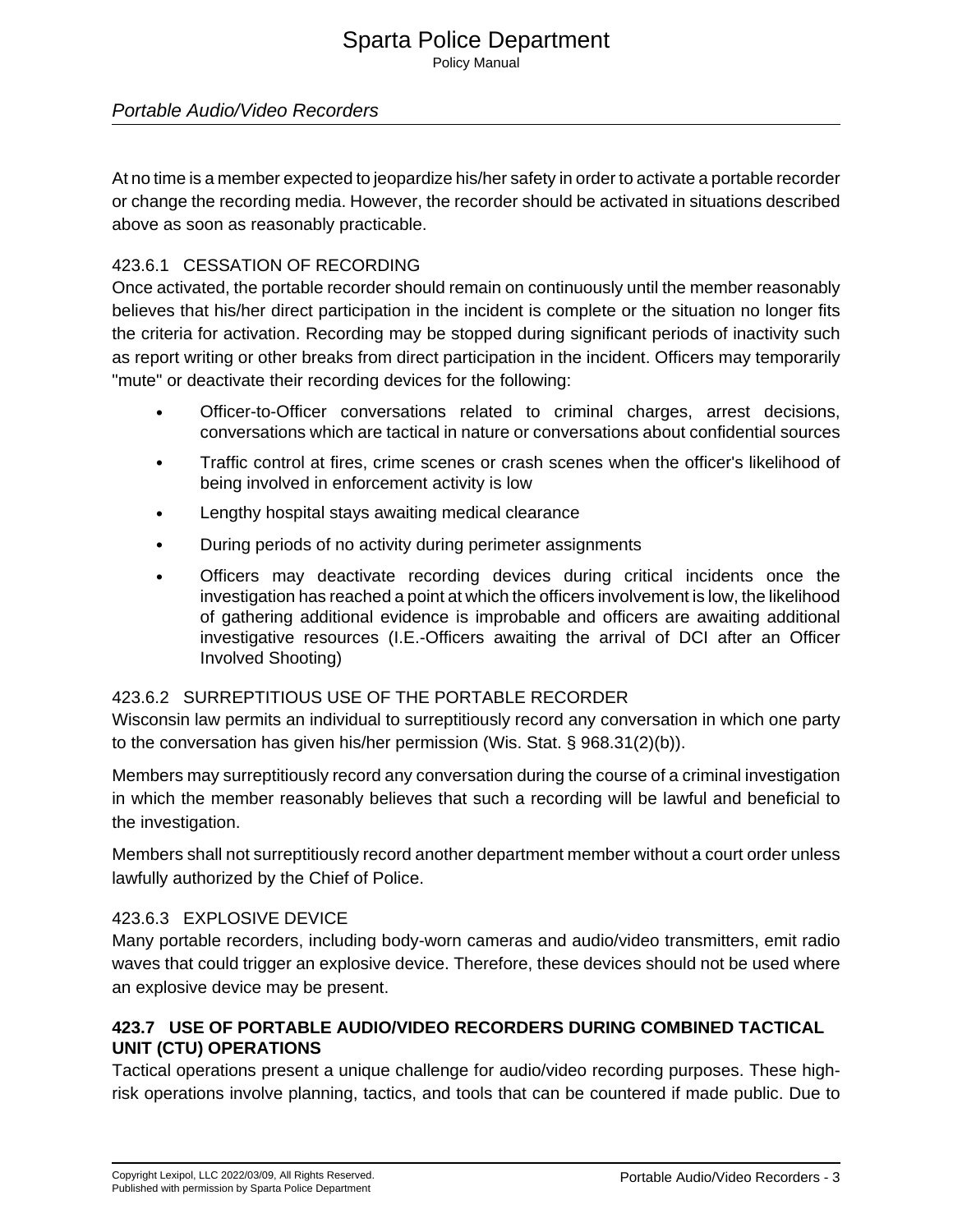#### Portable Audio/Video Recorders

At no time is a member expected to jeopardize his/her safety in order to activate a portable recorder or change the recording media. However, the recorder should be activated in situations described above as soon as reasonably practicable.

#### 423.6.1 CESSATION OF RECORDING

Once activated, the portable recorder should remain on continuously until the member reasonably believes that his/her direct participation in the incident is complete or the situation no longer fits the criteria for activation. Recording may be stopped during significant periods of inactivity such as report writing or other breaks from direct participation in the incident. Officers may temporarily "mute" or deactivate their recording devices for the following:

- Officer-to-Officer conversations related to criminal charges, arrest decisions, conversations which are tactical in nature or conversations about confidential sources
- Traffic control at fires, crime scenes or crash scenes when the officer's likelihood of being involved in enforcement activity is low
- Lengthy hospital stays awaiting medical clearance
- During periods of no activity during perimeter assignments
- Officers may deactivate recording devices during critical incidents once the investigation has reached a point at which the officers involvement is low, the likelihood of gathering additional evidence is improbable and officers are awaiting additional investigative resources (I.E.-Officers awaiting the arrival of DCI after an Officer Involved Shooting)

#### 423.6.2 SURREPTITIOUS USE OF THE PORTABLE RECORDER

Wisconsin law permits an individual to surreptitiously record any conversation in which one party to the conversation has given his/her permission (Wis. Stat. § 968.31(2)(b)).

Members may surreptitiously record any conversation during the course of a criminal investigation in which the member reasonably believes that such a recording will be lawful and beneficial to the investigation.

Members shall not surreptitiously record another department member without a court order unless lawfully authorized by the Chief of Police.

#### 423.6.3 EXPLOSIVE DEVICE

Many portable recorders, including body-worn cameras and audio/video transmitters, emit radio waves that could trigger an explosive device. Therefore, these devices should not be used where an explosive device may be present.

## **423.7 USE OF PORTABLE AUDIO/VIDEO RECORDERS DURING COMBINED TACTICAL UNIT (CTU) OPERATIONS**

Tactical operations present a unique challenge for audio/video recording purposes. These highrisk operations involve planning, tactics, and tools that can be countered if made public. Due to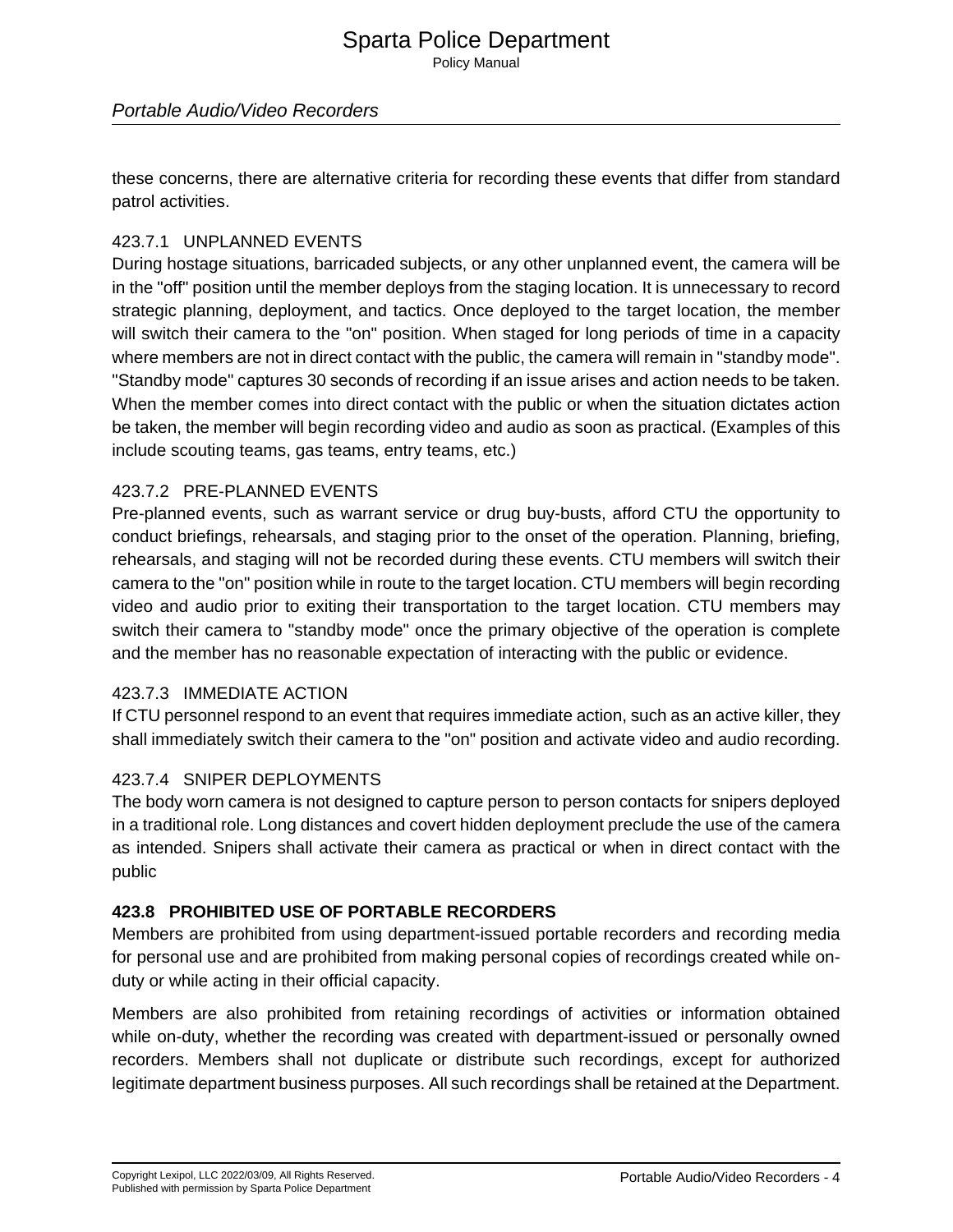#### Portable Audio/Video Recorders

these concerns, there are alternative criteria for recording these events that differ from standard patrol activities.

#### 423.7.1 UNPLANNED EVENTS

During hostage situations, barricaded subjects, or any other unplanned event, the camera will be in the "off" position until the member deploys from the staging location. It is unnecessary to record strategic planning, deployment, and tactics. Once deployed to the target location, the member will switch their camera to the "on" position. When staged for long periods of time in a capacity where members are not in direct contact with the public, the camera will remain in "standby mode". "Standby mode" captures 30 seconds of recording if an issue arises and action needs to be taken. When the member comes into direct contact with the public or when the situation dictates action be taken, the member will begin recording video and audio as soon as practical. (Examples of this include scouting teams, gas teams, entry teams, etc.)

#### 423.7.2 PRE-PLANNED EVENTS

Pre-planned events, such as warrant service or drug buy-busts, afford CTU the opportunity to conduct briefings, rehearsals, and staging prior to the onset of the operation. Planning, briefing, rehearsals, and staging will not be recorded during these events. CTU members will switch their camera to the "on" position while in route to the target location. CTU members will begin recording video and audio prior to exiting their transportation to the target location. CTU members may switch their camera to "standby mode" once the primary objective of the operation is complete and the member has no reasonable expectation of interacting with the public or evidence.

#### 423.7.3 IMMEDIATE ACTION

If CTU personnel respond to an event that requires immediate action, such as an active killer, they shall immediately switch their camera to the "on" position and activate video and audio recording.

#### 423.7.4 SNIPER DEPLOYMENTS

The body worn camera is not designed to capture person to person contacts for snipers deployed in a traditional role. Long distances and covert hidden deployment preclude the use of the camera as intended. Snipers shall activate their camera as practical or when in direct contact with the public

#### **423.8 PROHIBITED USE OF PORTABLE RECORDERS**

Members are prohibited from using department-issued portable recorders and recording media for personal use and are prohibited from making personal copies of recordings created while onduty or while acting in their official capacity.

Members are also prohibited from retaining recordings of activities or information obtained while on-duty, whether the recording was created with department-issued or personally owned recorders. Members shall not duplicate or distribute such recordings, except for authorized legitimate department business purposes. All such recordings shall be retained at the Department.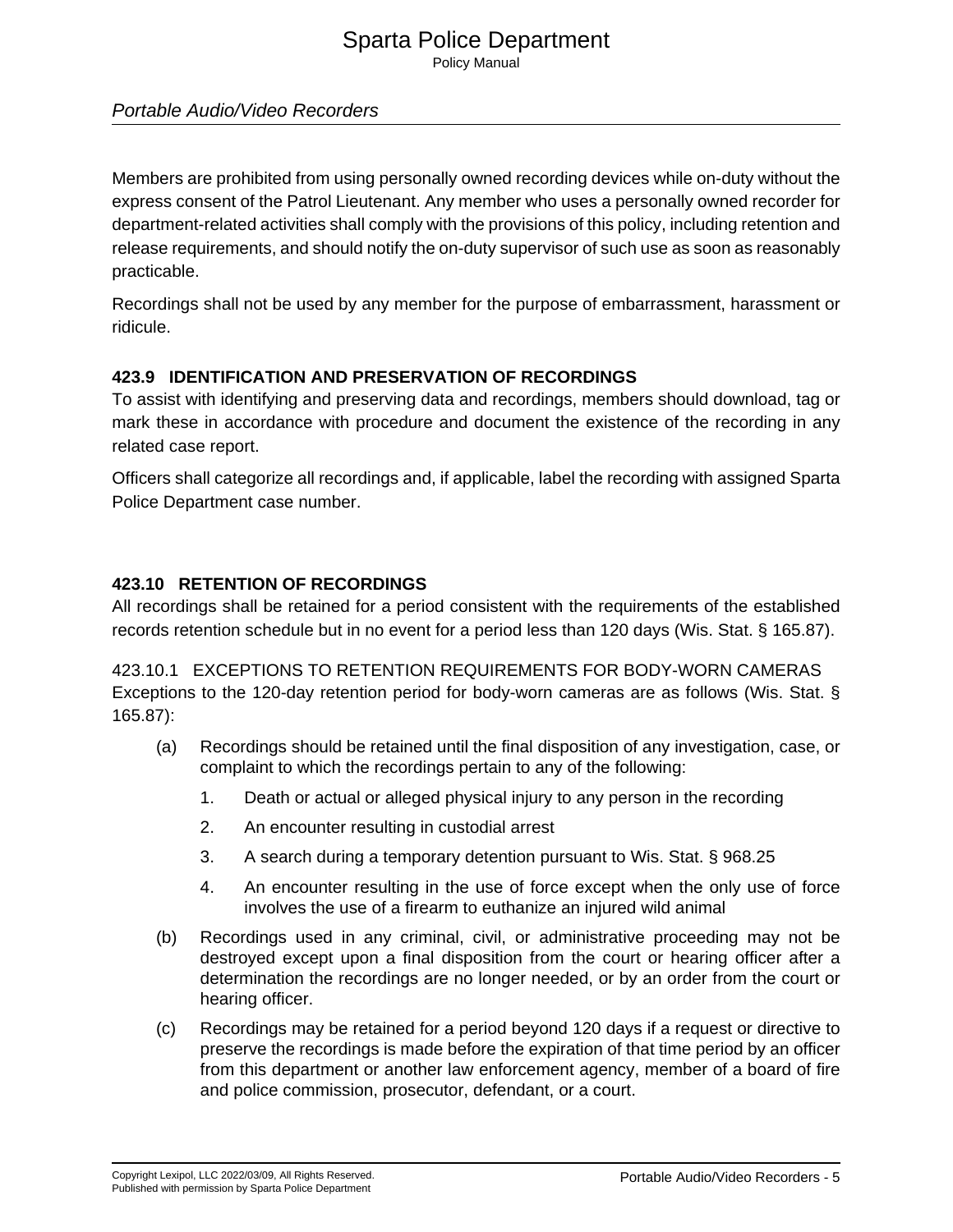# Sparta Police Department

Policy Manual

## Portable Audio/Video Recorders

Members are prohibited from using personally owned recording devices while on-duty without the express consent of the Patrol Lieutenant. Any member who uses a personally owned recorder for department-related activities shall comply with the provisions of this policy, including retention and release requirements, and should notify the on-duty supervisor of such use as soon as reasonably practicable.

Recordings shall not be used by any member for the purpose of embarrassment, harassment or ridicule.

## **423.9 IDENTIFICATION AND PRESERVATION OF RECORDINGS**

To assist with identifying and preserving data and recordings, members should download, tag or mark these in accordance with procedure and document the existence of the recording in any related case report.

Officers shall categorize all recordings and, if applicable, label the recording with assigned Sparta Police Department case number.

## **423.10 RETENTION OF RECORDINGS**

All recordings shall be retained for a period consistent with the requirements of the established records retention schedule but in no event for a period less than 120 days (Wis. Stat. § 165.87).

423.10.1 EXCEPTIONS TO RETENTION REQUIREMENTS FOR BODY-WORN CAMERAS Exceptions to the 120-day retention period for body-worn cameras are as follows (Wis. Stat. § 165.87):

- (a) Recordings should be retained until the final disposition of any investigation, case, or complaint to which the recordings pertain to any of the following:
	- 1. Death or actual or alleged physical injury to any person in the recording
	- 2. An encounter resulting in custodial arrest
	- 3. A search during a temporary detention pursuant to Wis. Stat. § 968.25
	- 4. An encounter resulting in the use of force except when the only use of force involves the use of a firearm to euthanize an injured wild animal
- (b) Recordings used in any criminal, civil, or administrative proceeding may not be destroyed except upon a final disposition from the court or hearing officer after a determination the recordings are no longer needed, or by an order from the court or hearing officer.
- (c) Recordings may be retained for a period beyond 120 days if a request or directive to preserve the recordings is made before the expiration of that time period by an officer from this department or another law enforcement agency, member of a board of fire and police commission, prosecutor, defendant, or a court.